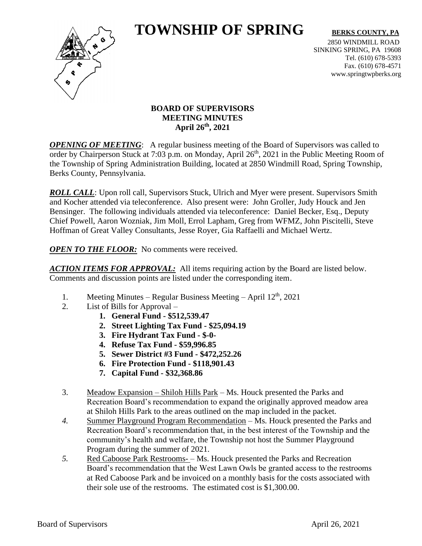# **TOWNSHIP OF SPRING** BERKS COUNTY, PA



2850 WINDMILL ROAD SINKING SPRING, PA 19608 Tel. (610) 678-5393 Fax. (610) 678-4571 www.springtwpberks.org

# **BOARD OF SUPERVISORS MEETING MINUTES April 26th , 2021**

*OPENING OF MEETING*: A regular business meeting of the Board of Supervisors was called to order by Chairperson Stuck at 7:03 p.m. on Monday, April 26<sup>th</sup>, 2021 in the Public Meeting Room of the Township of Spring Administration Building, located at 2850 Windmill Road, Spring Township, Berks County, Pennsylvania.

*ROLL CALL*: Upon roll call, Supervisors Stuck, Ulrich and Myer were present. Supervisors Smith and Kocher attended via teleconference. Also present were: John Groller, Judy Houck and Jen Bensinger. The following individuals attended via teleconference: Daniel Becker, Esq., Deputy Chief Powell, Aaron Wozniak, Jim Moll, Errol Lapham, Greg from WFMZ, John Piscitelli, Steve Hoffman of Great Valley Consultants, Jesse Royer, Gia Raffaelli and Michael Wertz.

*OPEN TO THE FLOOR:* No comments were received.

*ACTION ITEMS FOR APPROVAL:* All items requiring action by the Board are listed below. Comments and discussion points are listed under the corresponding item.

- 1. Meeting Minutes Regular Business Meeting April  $12<sup>th</sup>$ , 2021
- 2. List of Bills for Approval
	- **1. General Fund - \$512,539.47**
	- **2. Street Lighting Tax Fund - \$25,094.19**
	- **3. Fire Hydrant Tax Fund - \$-0-**
	- **4. Refuse Tax Fund - \$59,996.85**
	- **5. Sewer District #3 Fund - \$472,252.26**
	- **6. Fire Protection Fund - \$118,901.43**
	- **7. Capital Fund - \$32,368.86**
- 3. Meadow Expansion Shiloh Hills Park Ms. Houck presented the Parks and Recreation Board's recommendation to expand the originally approved meadow area at Shiloh Hills Park to the areas outlined on the map included in the packet.
- *4.* Summer Playground Program Recommendation Ms. Houck presented the Parks and Recreation Board's recommendation that, in the best interest of the Township and the community's health and welfare, the Township not host the Summer Playground Program during the summer of 2021.
- *5.* Red Caboose Park Restrooms- Ms. Houck presented the Parks and Recreation Board's recommendation that the West Lawn Owls be granted access to the restrooms at Red Caboose Park and be invoiced on a monthly basis for the costs associated with their sole use of the restrooms. The estimated cost is \$1,300.00.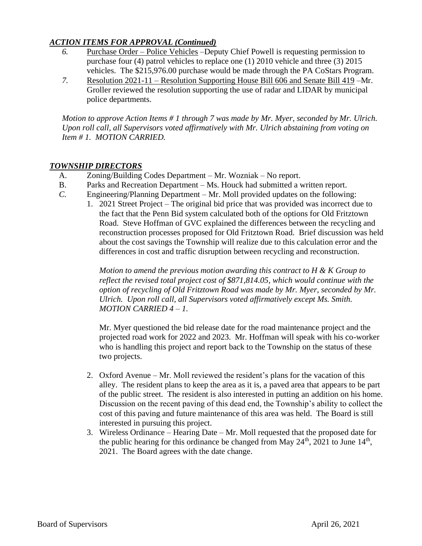## *ACTION ITEMS FOR APPROVAL (Continued)*

- *6.* Purchase Order Police Vehicles –Deputy Chief Powell is requesting permission to purchase four (4) patrol vehicles to replace one (1) 2010 vehicle and three (3) 2015 vehicles. The \$215,976.00 purchase would be made through the PA CoStars Program.
- *7.* Resolution 2021-11 Resolution Supporting House Bill 606 and Senate Bill 419 –Mr. Groller reviewed the resolution supporting the use of radar and LIDAR by municipal police departments.

*Motion to approve Action Items # 1 through 7 was made by Mr. Myer, seconded by Mr. Ulrich. Upon roll call, all Supervisors voted affirmatively with Mr. Ulrich abstaining from voting on Item # 1. MOTION CARRIED.*

## *TOWNSHIP DIRECTORS*

- A. Zoning/Building Codes Department Mr. Wozniak No report.
- B. Parks and Recreation Department Ms. Houck had submitted a written report.
- *C.* Engineering/Planning Department Mr. Moll provided updates on the following:
	- 1. 2021 Street Project The original bid price that was provided was incorrect due to the fact that the Penn Bid system calculated both of the options for Old Fritztown Road. Steve Hoffman of GVC explained the differences between the recycling and reconstruction processes proposed for Old Fritztown Road. Brief discussion was held about the cost savings the Township will realize due to this calculation error and the differences in cost and traffic disruption between recycling and reconstruction.

*Motion to amend the previous motion awarding this contract to H & K Group to reflect the revised total project cost of \$871,814.05, which would continue with the option of recycling of Old Fritztown Road was made by Mr. Myer, seconded by Mr. Ulrich. Upon roll call, all Supervisors voted affirmatively except Ms. Smith. MOTION CARRIED 4 – 1.*

Mr. Myer questioned the bid release date for the road maintenance project and the projected road work for 2022 and 2023. Mr. Hoffman will speak with his co-worker who is handling this project and report back to the Township on the status of these two projects.

- 2. Oxford Avenue Mr. Moll reviewed the resident's plans for the vacation of this alley. The resident plans to keep the area as it is, a paved area that appears to be part of the public street. The resident is also interested in putting an addition on his home. Discussion on the recent paving of this dead end, the Township's ability to collect the cost of this paving and future maintenance of this area was held. The Board is still interested in pursuing this project.
- 3. Wireless Ordinance Hearing Date Mr. Moll requested that the proposed date for the public hearing for this ordinance be changed from May  $24<sup>th</sup>$ , 2021 to June  $14<sup>th</sup>$ , 2021. The Board agrees with the date change.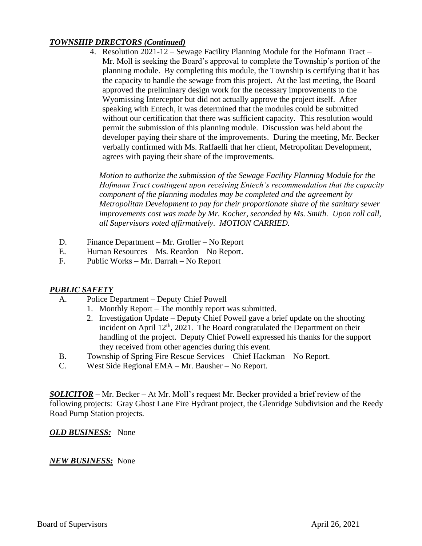## *TOWNSHIP DIRECTORS (Continued)*

4. Resolution 2021-12 – Sewage Facility Planning Module for the Hofmann Tract – Mr. Moll is seeking the Board's approval to complete the Township's portion of the planning module. By completing this module, the Township is certifying that it has the capacity to handle the sewage from this project. At the last meeting, the Board approved the preliminary design work for the necessary improvements to the Wyomissing Interceptor but did not actually approve the project itself. After speaking with Entech, it was determined that the modules could be submitted without our certification that there was sufficient capacity. This resolution would permit the submission of this planning module. Discussion was held about the developer paying their share of the improvements. During the meeting, Mr. Becker verbally confirmed with Ms. Raffaelli that her client, Metropolitan Development, agrees with paying their share of the improvements.

*Motion to authorize the submission of the Sewage Facility Planning Module for the Hofmann Tract contingent upon receiving Entech's recommendation that the capacity component of the planning modules may be completed and the agreement by Metropolitan Development to pay for their proportionate share of the sanitary sewer improvements cost was made by Mr. Kocher, seconded by Ms. Smith. Upon roll call, all Supervisors voted affirmatively. MOTION CARRIED.*

- D. Finance Department Mr. Groller No Report
- E. Human Resources Ms. Reardon No Report.
- F. Public Works Mr. Darrah No Report

#### *PUBLIC SAFETY*

- A. Police Department Deputy Chief Powell
	- 1. Monthly Report The monthly report was submitted.
	- 2. Investigation Update Deputy Chief Powell gave a brief update on the shooting incident on April  $12<sup>th</sup>$ , 2021. The Board congratulated the Department on their handling of the project. Deputy Chief Powell expressed his thanks for the support they received from other agencies during this event.
- B. Township of Spring Fire Rescue Services Chief Hackman No Report.
- C. West Side Regional EMA Mr. Bausher No Report.

*SOLICITOR –* Mr. Becker – At Mr. Moll's request Mr. Becker provided a brief review of the following projects: Gray Ghost Lane Fire Hydrant project, the Glenridge Subdivision and the Reedy Road Pump Station projects.

*OLD BUSINESS:* None

#### *NEW BUSINESS:* None